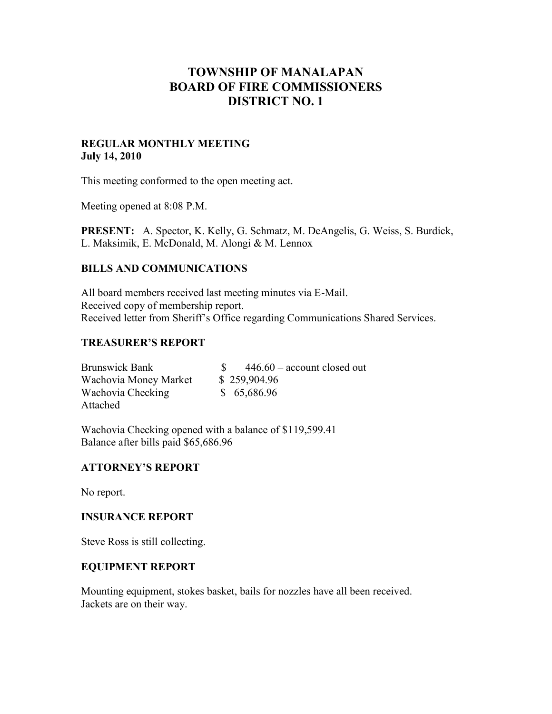# **TOWNSHIP OF MANALAPAN BOARD OF FIRE COMMISSIONERS DISTRICT NO. 1**

### **REGULAR MONTHLY MEETING July 14, 2010**

This meeting conformed to the open meeting act.

Meeting opened at 8:08 P.M.

**PRESENT:** A. Spector, K. Kelly, G. Schmatz, M. DeAngelis, G. Weiss, S. Burdick, L. Maksimik, E. McDonald, M. Alongi & M. Lennox

## **BILLS AND COMMUNICATIONS**

All board members received last meeting minutes via E-Mail. Received copy of membership report. Received letter from Sheriff's Office regarding Communications Shared Services.

## **TREASURER'S REPORT**

| <b>Brunswick Bank</b> | $446.60$ – account closed out |
|-----------------------|-------------------------------|
| Wachovia Money Market | \$259,904.96                  |
| Wachovia Checking     | \$65,686.96                   |
| Attached              |                               |

Wachovia Checking opened with a balance of \$119,599.41 Balance after bills paid \$65,686.96

### **ATTORNEY'S REPORT**

No report.

### **INSURANCE REPORT**

Steve Ross is still collecting.

## **EQUIPMENT REPORT**

Mounting equipment, stokes basket, bails for nozzles have all been received. Jackets are on their way.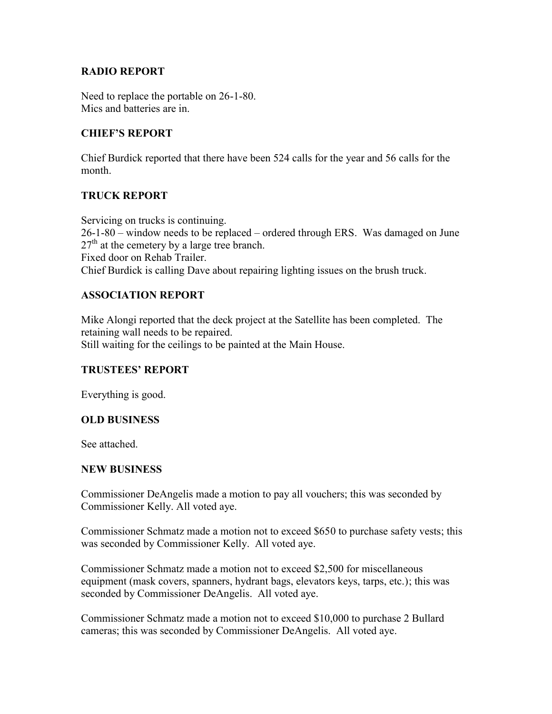## **RADIO REPORT**

Need to replace the portable on 26-1-80. Mics and batteries are in.

# **CHIEF'S REPORT**

Chief Burdick reported that there have been 524 calls for the year and 56 calls for the month.

## **TRUCK REPORT**

Servicing on trucks is continuing. 26-1-80 – window needs to be replaced – ordered through ERS. Was damaged on June  $27<sup>th</sup>$  at the cemetery by a large tree branch. Fixed door on Rehab Trailer. Chief Burdick is calling Dave about repairing lighting issues on the brush truck.

## **ASSOCIATION REPORT**

Mike Alongi reported that the deck project at the Satellite has been completed. The retaining wall needs to be repaired. Still waiting for the ceilings to be painted at the Main House.

### **TRUSTEES' REPORT**

Everything is good.

### **OLD BUSINESS**

See attached.

### **NEW BUSINESS**

Commissioner DeAngelis made a motion to pay all vouchers; this was seconded by Commissioner Kelly. All voted aye.

Commissioner Schmatz made a motion not to exceed \$650 to purchase safety vests; this was seconded by Commissioner Kelly. All voted aye.

Commissioner Schmatz made a motion not to exceed \$2,500 for miscellaneous equipment (mask covers, spanners, hydrant bags, elevators keys, tarps, etc.); this was seconded by Commissioner DeAngelis. All voted aye.

Commissioner Schmatz made a motion not to exceed \$10,000 to purchase 2 Bullard cameras; this was seconded by Commissioner DeAngelis. All voted aye.